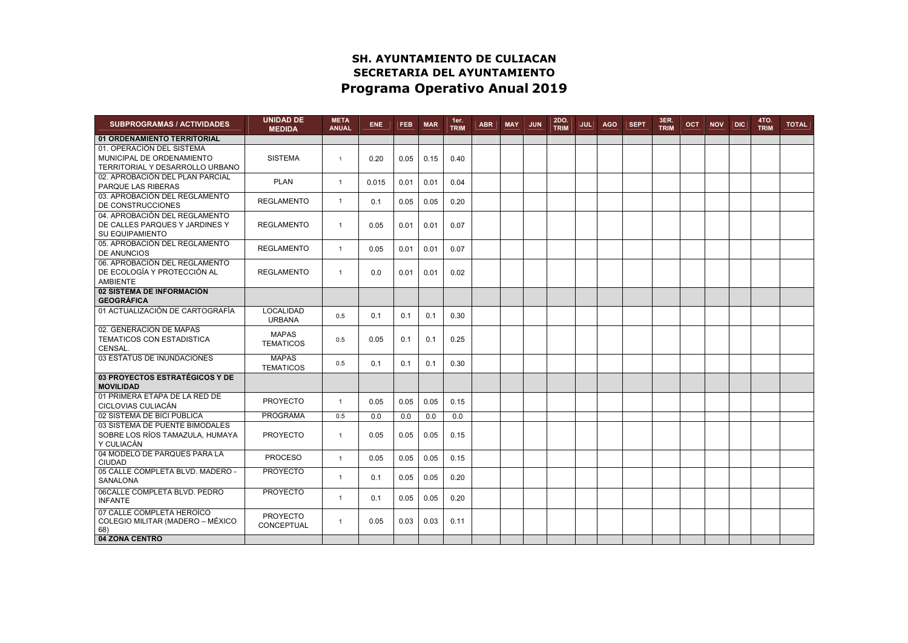## SH. AYUNTAMIENTO DE CULIACAN SECRETARIA DEL AYUNTAMIENTO Programa Operativo Anual 2019

| <b>SUBPROGRAMAS / ACTIVIDADES</b>                                                         | <b>UNIDAD DE</b><br><b>MEDIDA</b> | <b>META</b><br><b>ANUAL</b> | <b>ENE</b> | <b>FEB</b> | <b>MAR</b> | 1er.<br><b>TRIM</b> | <b>ABR</b> | <b>MAY</b> | <b>JUN</b> | 2DO.<br><b>TRIM</b> | <b>JUL</b> | <b>AGO</b> | <b>SEPT</b> | 3ER.<br><b>TRIM</b> | OCT. | <b>NOV</b> | DIC | <b>4TO.</b><br><b>TRIM</b> | <b>TOTAL</b> |
|-------------------------------------------------------------------------------------------|-----------------------------------|-----------------------------|------------|------------|------------|---------------------|------------|------------|------------|---------------------|------------|------------|-------------|---------------------|------|------------|-----|----------------------------|--------------|
| 01 ORDENAMIENTO TERRITORIAL                                                               |                                   |                             |            |            |            |                     |            |            |            |                     |            |            |             |                     |      |            |     |                            |              |
| 01. OPERACIÓN DEL SISTEMA<br>MUNICIPAL DE ORDENAMIENTO<br>TERRITORIAL Y DESARROLLO URBANO | <b>SISTEMA</b>                    | $\overline{1}$              | 0.20       | 0.05       | 0.15       | 0.40                |            |            |            |                     |            |            |             |                     |      |            |     |                            |              |
| 02. APROBACIÓN DEL PLAN PARCIAL<br>PARQUE LAS RIBERAS                                     | <b>PLAN</b>                       | $\overline{1}$              | 0.015      | 0.01       | 0.01       | 0.04                |            |            |            |                     |            |            |             |                     |      |            |     |                            |              |
| 03. APROBACIÓN DEL REGLAMENTO<br>DE CONSTRUCCIONES                                        | <b>REGLAMENTO</b>                 | $\mathbf{1}$                | 0.1        | 0.05       | 0.05       | 0.20                |            |            |            |                     |            |            |             |                     |      |            |     |                            |              |
| 04. APROBACIÓN DEL REGLAMENTO<br>DE CALLES PARQUES Y JARDINES Y<br>SU EQUIPAMIENTO        | <b>REGLAMENTO</b>                 | $\mathbf{1}$                | 0.05       | 0.01       | 0.01       | 0.07                |            |            |            |                     |            |            |             |                     |      |            |     |                            |              |
| 05. APROBACIÓN DEL REGLAMENTO<br><b>DE ANUNCIOS</b>                                       | <b>REGLAMENTO</b>                 | $\mathbf{1}$                | 0.05       | 0.01       | 0.01       | 0.07                |            |            |            |                     |            |            |             |                     |      |            |     |                            |              |
| 06. APROBACIÓN DEL REGLAMENTO<br>DE ECOLOGÍA Y PROTECCIÓN AL<br>AMBIENTE                  | <b>REGLAMENTO</b>                 | $\mathbf{1}$                | 0.0        | 0.01       | 0.01       | 0.02                |            |            |            |                     |            |            |             |                     |      |            |     |                            |              |
| 02 SISTEMA DE INFORMACIÓN<br><b>GEOGRÁFICA</b>                                            |                                   |                             |            |            |            |                     |            |            |            |                     |            |            |             |                     |      |            |     |                            |              |
| 01 ACTUALIZACIÓN DE CARTOGRAFÍA                                                           | <b>LOCALIDAD</b><br><b>URBANA</b> | 0.5                         | 0.1        | 0.1        | 0.1        | 0.30                |            |            |            |                     |            |            |             |                     |      |            |     |                            |              |
| 02. GENERACION DE MAPAS<br>TEMATICOS CON ESTADISTICA<br>CENSAL.                           | <b>MAPAS</b><br><b>TEMATICOS</b>  | 0.5                         | 0.05       | 0.1        | 0.1        | 0.25                |            |            |            |                     |            |            |             |                     |      |            |     |                            |              |
| 03 ESTATUS DE INUNDACIONES                                                                | <b>MAPAS</b><br><b>TEMATICOS</b>  | 0.5                         | 0.1        | 0.1        | 0.1        | 0.30                |            |            |            |                     |            |            |             |                     |      |            |     |                            |              |
| 03 PROYECTOS ESTRATÉGICOS Y DE<br><b>MOVILIDAD</b>                                        |                                   |                             |            |            |            |                     |            |            |            |                     |            |            |             |                     |      |            |     |                            |              |
| 01 PRIMERA ETAPA DE LA RED DE<br>CICLOVIAS CULIACÁN                                       | <b>PROYECTO</b>                   | $\overline{1}$              | 0.05       | 0.05       | 0.05       | 0.15                |            |            |            |                     |            |            |             |                     |      |            |     |                            |              |
| 02 SISTEMA DE BICI PÚBLICA                                                                | <b>PROGRAMA</b>                   | 0.5                         | 0.0        | 0.0        | 0.0        | 0.0                 |            |            |            |                     |            |            |             |                     |      |            |     |                            |              |
| 03 SISTEMA DE PUENTE BIMODALES<br>SOBRE LOS RÍOS TAMAZULA, HUMAYA<br>Y CULIACÁN           | <b>PROYECTO</b>                   | $\mathbf{1}$                | 0.05       | 0.05       | 0.05       | 0.15                |            |            |            |                     |            |            |             |                     |      |            |     |                            |              |
| 04 MODELO DE PARQUES PARA LA<br>CIUDAD                                                    | <b>PROCESO</b>                    | $\overline{1}$              | 0.05       | 0.05       | 0.05       | 0.15                |            |            |            |                     |            |            |             |                     |      |            |     |                            |              |
| 05 CALLE COMPLETA BLVD. MADERO -<br>SANALONA                                              | <b>PROYECTO</b>                   | $\mathbf{1}$                | 0.1        | 0.05       | 0.05       | 0.20                |            |            |            |                     |            |            |             |                     |      |            |     |                            |              |
| 06CALLE COMPLETA BLVD. PEDRO<br><b>INFANTE</b>                                            | <b>PROYECTO</b>                   | $\mathbf{1}$                | 0.1        | 0.05       | 0.05       | 0.20                |            |            |            |                     |            |            |             |                     |      |            |     |                            |              |
| 07 CALLE COMPLETA HEROÍCO<br>COLEGIO MILITAR (MADERO – MÉXICO<br>68)                      | <b>PROYECTO</b><br>CONCEPTUAL     | $\mathbf{1}$                | 0.05       | 0.03       | 0.03       | 0.11                |            |            |            |                     |            |            |             |                     |      |            |     |                            |              |
| 04 ZONA CENTRO                                                                            |                                   |                             |            |            |            |                     |            |            |            |                     |            |            |             |                     |      |            |     |                            |              |